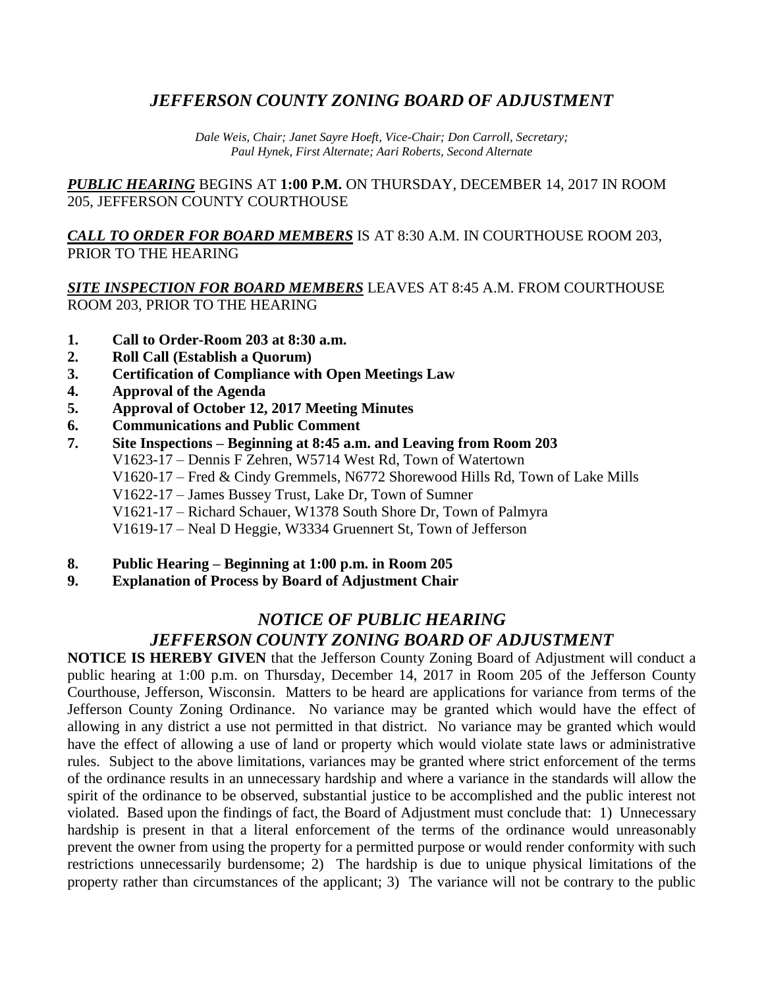# *JEFFERSON COUNTY ZONING BOARD OF ADJUSTMENT*

*Dale Weis, Chair; Janet Sayre Hoeft, Vice-Chair; Don Carroll, Secretary; Paul Hynek, First Alternate; Aari Roberts, Second Alternate*

*PUBLIC HEARING* BEGINS AT **1:00 P.M.** ON THURSDAY, DECEMBER 14, 2017 IN ROOM 205, JEFFERSON COUNTY COURTHOUSE

*CALL TO ORDER FOR BOARD MEMBERS* IS AT 8:30 A.M. IN COURTHOUSE ROOM 203, PRIOR TO THE HEARING

#### *SITE INSPECTION FOR BOARD MEMBERS* LEAVES AT 8:45 A.M. FROM COURTHOUSE ROOM 203, PRIOR TO THE HEARING

- **1. Call to Order-Room 203 at 8:30 a.m.**
- **2. Roll Call (Establish a Quorum)**
- **3. Certification of Compliance with Open Meetings Law**
- **4. Approval of the Agenda**
- **5. Approval of October 12, 2017 Meeting Minutes**
- **6. Communications and Public Comment**
- **7. Site Inspections – Beginning at 8:45 a.m. and Leaving from Room 203** V1623-17 – Dennis F Zehren, W5714 West Rd, Town of Watertown V1620-17 – Fred & Cindy Gremmels, N6772 Shorewood Hills Rd, Town of Lake Mills V1622-17 – James Bussey Trust, Lake Dr, Town of Sumner V1621-17 – Richard Schauer, W1378 South Shore Dr, Town of Palmyra V1619-17 – Neal D Heggie, W3334 Gruennert St, Town of Jefferson
- **8. Public Hearing – Beginning at 1:00 p.m. in Room 205**
- **9. Explanation of Process by Board of Adjustment Chair**

## *NOTICE OF PUBLIC HEARING JEFFERSON COUNTY ZONING BOARD OF ADJUSTMENT*

**NOTICE IS HEREBY GIVEN** that the Jefferson County Zoning Board of Adjustment will conduct a public hearing at 1:00 p.m. on Thursday, December 14, 2017 in Room 205 of the Jefferson County Courthouse, Jefferson, Wisconsin. Matters to be heard are applications for variance from terms of the Jefferson County Zoning Ordinance. No variance may be granted which would have the effect of allowing in any district a use not permitted in that district. No variance may be granted which would have the effect of allowing a use of land or property which would violate state laws or administrative rules. Subject to the above limitations, variances may be granted where strict enforcement of the terms of the ordinance results in an unnecessary hardship and where a variance in the standards will allow the spirit of the ordinance to be observed, substantial justice to be accomplished and the public interest not violated. Based upon the findings of fact, the Board of Adjustment must conclude that: 1) Unnecessary hardship is present in that a literal enforcement of the terms of the ordinance would unreasonably prevent the owner from using the property for a permitted purpose or would render conformity with such restrictions unnecessarily burdensome; 2) The hardship is due to unique physical limitations of the property rather than circumstances of the applicant; 3) The variance will not be contrary to the public